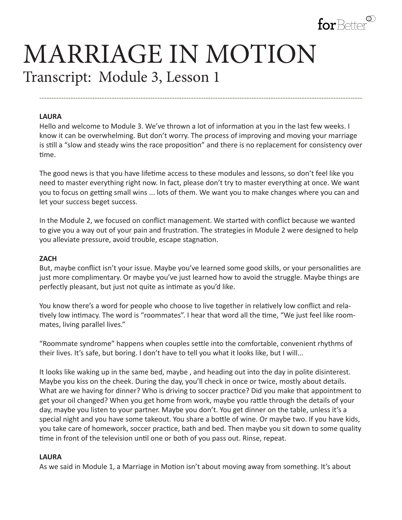

# MARRIAGE IN MOTION Transcript: Module 3, Lesson 1

#### **LAURA**

Hello and welcome to Module 3. We've thrown a lot of information at you in the last few weeks. I know it can be overwhelming. But don't worry. The process of improving and moving your marriage is still a "slow and steady wins the race proposition" and there is no replacement for consistency over time.

**--------------------------------------------------------------------------------------------------------------------------------------**

The good news is that you have lifetime access to these modules and lessons, so don't feel like you need to master everything right now. In fact, please don't try to master everything at once. We want you to focus on getting small wins ... lots of them. We want you to make changes where you can and let your success beget success.

In the Module 2, we focused on conflict management. We started with conflict because we wanted to give you a way out of your pain and frustration. The strategies in Module 2 were designed to help you alleviate pressure, avoid trouble, escape stagnation.

#### **ZACH**

But, maybe conflict isn't your issue. Maybe you've learned some good skills, or your personalities are just more complimentary. Or maybe you've just learned how to avoid the struggle. Maybe things are perfectly pleasant, but just not quite as intimate as you'd like.

You know there's a word for people who choose to live together in relatively low conflict and relatively low intimacy. The word is "roommates". I hear that word all the time, "We just feel like roommates, living parallel lives."

"Roommate syndrome" happens when couples settle into the comfortable, convenient rhythms of their lives. It's safe, but boring. I don't have to tell you what it looks like, but I will...

It looks like waking up in the same bed, maybe , and heading out into the day in polite disinterest. Maybe you kiss on the cheek. During the day, you'll check in once or twice, mostly about details. What are we having for dinner? Who is driving to soccer practice? Did you make that appointment to get your oil changed? When you get home from work, maybe you rattle through the details of your day, maybe you listen to your partner. Maybe you don't. You get dinner on the table, unless it's a special night and you have some takeout. You share a bottle of wine. Or maybe two. If you have kids, you take care of homework, soccer practice, bath and bed. Then maybe you sit down to some quality time in front of the television until one or both of you pass out. Rinse, repeat.

#### **LAURA**

As we said in Module 1, a Marriage in Motion isn't about moving away from something. It's about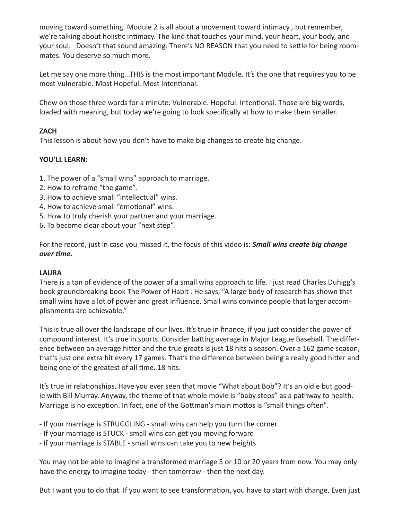moving toward something. Module 2 is all about a movement toward intimacy.,.but remember, we're talking about holistic intimacy. The kind that touches your mind, your heart, your body, and your soul. Doesn't that sound amazing. There's NO REASON that you need to settle for being roommates. You deserve so much more.

Let me say one more thing...THIS is the most important Module. It's the one that requires you to be most Vulnerable. Most Hopeful. Most Intentional.

Chew on those three words for a minute: Vulnerable. Hopeful. Intentional. Those are big words, loaded with meaning, but today we're going to look specifically at how to make them smaller.

## **ZACH**

This lesson is about how you don't have to make big changes to create big change.

# **YOU'LL LEARN:**

- 1. The power of a "small wins" approach to marriage.
- 2. How to reframe "the game".
- 3. How to achieve small "intellectual" wins.
- 4. How to achieve small "emotional" wins.
- 5. How to truly cherish your partner and your marriage.
- 6. To become clear about your "next step".

For the record, just in case you missed it, the focus of this video is: *Small wins create big change over time.*

## **LAURA**

There is a ton of evidence of the power of a small wins approach to life. I just read Charles Duhigg's book groundbreaking book The Power of Habit . He says, "A large body of research has shown that small wins have a lot of power and great influence. Small wins convince people that larger accomplishments are achievable."

This is true all over the landscape of our lives. It's true in finance, if you just consider the power of compound interest. It's true in sports. Consider batting average in Major League Baseball. The difference between an average hitter and the true greats is just 18 hits a season. Over a 162 game season, that's just one extra hit every 17 games. That's the difference between being a really good hitter and being one of the greatest of all time. 18 hits.

It's true in relationships. Have you ever seen that movie "What about Bob"? It's an oldie but goodie with Bill Murray. Anyway, the theme of that whole movie is "baby steps" as a pathway to health. Marriage is no exception. In fact, one of the Gottman's main mottos is "small things often".

- If your marriage is STRUGGLING - small wins can help you turn the corner

- If your marriage is STUCK small wins can get you moving forward
- If your marriage is STABLE small wins can take you to new heights

You may not be able to imagine a transformed marriage 5 or 10 or 20 years from now. You may only have the energy to imagine today - then tomorrow - then the next day.

But I want you to do that. If you want to see transformation, you have to start with change. Even just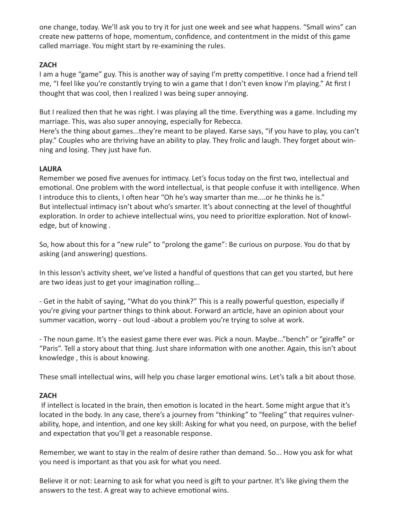one change, today. We'll ask you to try it for just one week and see what happens. "Small wins" can create new patterns of hope, momentum, confidence, and contentment in the midst of this game called marriage. You might start by re-examining the rules.

## **ZACH**

I am a huge "game" guy. This is another way of saying I'm pretty competitive. I once had a friend tell me, "I feel like you're constantly trying to win a game that I don't even know I'm playing." At first I thought that was cool, then I realized I was being super annoying.

But I realized then that he was right. I was playing all the time. Everything was a game. Including my marriage. This, was also super annoying, especially for Rebecca.

Here's the thing about games...they're meant to be played. Karse says, "if you have to play, you can't play." Couples who are thriving have an ability to play. They frolic and laugh. They forget about winning and losing. They just have fun.

# **LAURA**

Remember we posed five avenues for intimacy. Let's focus today on the first two, intellectual and emotional. One problem with the word intellectual, is that people confuse it with intelligence. When I introduce this to clients, I often hear "Oh he's way smarter than me....or he thinks he is." But intellectual intimacy isn't about who's smarter. It's about connecting at the level of thoughtful exploration. In order to achieve intellectual wins, you need to prioritize exploration. Not of knowledge, but of knowing .

So, how about this for a "new rule" to "prolong the game": Be curious on purpose. You do that by asking (and answering) questions.

In this lesson's activity sheet, we've listed a handful of questions that can get you started, but here are two ideas just to get your imagination rolling...

- Get in the habit of saying, "What do you think?" This is a really powerful question, especially if you're giving your partner things to think about. Forward an article, have an opinion about your summer vacation, worry - out loud -about a problem you're trying to solve at work.

- The noun game. It's the easiest game there ever was. Pick a noun. Maybe..."bench" or "giraffe" or "Paris". Tell a story about that thing. Just share information with one another. Again, this isn't about knowledge , this is about knowing.

These small intellectual wins, will help you chase larger emotional wins. Let's talk a bit about those.

## **ZACH**

 If intellect is located in the brain, then emotion is located in the heart. Some might argue that it's located in the body. In any case, there's a journey from "thinking" to "feeling" that requires vulnerability, hope, and intention, and one key skill: Asking for what you need, on purpose, with the belief and expectation that you'll get a reasonable response.

Remember, we want to stay in the realm of desire rather than demand. So... How you ask for what you need is important as that you ask for what you need.

Believe it or not: Learning to ask for what you need is gift to your partner. It's like giving them the answers to the test. A great way to achieve emotional wins.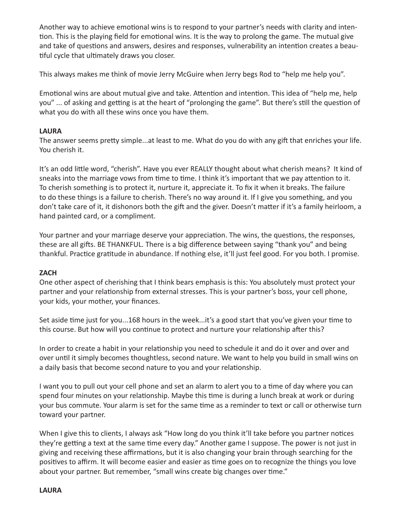Another way to achieve emotional wins is to respond to your partner's needs with clarity and intention. This is the playing field for emotional wins. It is the way to prolong the game. The mutual give and take of questions and answers, desires and responses, vulnerability an intention creates a beautiful cycle that ultimately draws you closer.

This always makes me think of movie Jerry McGuire when Jerry begs Rod to "help me help you".

Emotional wins are about mutual give and take. Attention and intention. This idea of "help me, help you" ... of asking and getting is at the heart of "prolonging the game". But there's still the question of what you do with all these wins once you have them.

#### **LAURA**

The answer seems pretty simple...at least to me. What do you do with any gift that enriches your life. You cherish it.

It's an odd little word, "cherish". Have you ever REALLY thought about what cherish means? It kind of sneaks into the marriage vows from time to time. I think it's important that we pay attention to it. To cherish something is to protect it, nurture it, appreciate it. To fix it when it breaks. The failure to do these things is a failure to cherish. There's no way around it. If I give you something, and you don't take care of it, it dishonors both the gift and the giver. Doesn't matter if it's a family heirloom, a hand painted card, or a compliment.

Your partner and your marriage deserve your appreciation. The wins, the questions, the responses, these are all gifts. BE THANKFUL. There is a big difference between saying "thank you" and being thankful. Practice gratitude in abundance. If nothing else, it'll just feel good. For you both. I promise.

## **ZACH**

One other aspect of cherishing that I think bears emphasis is this: You absolutely must protect your partner and your relationship from external stresses. This is your partner's boss, your cell phone, your kids, your mother, your finances.

Set aside time just for you...168 hours in the week...it's a good start that you've given your time to this course. But how will you continue to protect and nurture your relationship after this?

In order to create a habit in your relationship you need to schedule it and do it over and over and over until it simply becomes thoughtless, second nature. We want to help you build in small wins on a daily basis that become second nature to you and your relationship.

I want you to pull out your cell phone and set an alarm to alert you to a time of day where you can spend four minutes on your relationship. Maybe this time is during a lunch break at work or during your bus commute. Your alarm is set for the same time as a reminder to text or call or otherwise turn toward your partner.

When I give this to clients, I always ask "How long do you think it'll take before you partner notices they're getting a text at the same time every day." Another game I suppose. The power is not just in giving and receiving these affirmations, but it is also changing your brain through searching for the positives to affirm. It will become easier and easier as time goes on to recognize the things you love about your partner. But remember, "small wins create big changes over time."